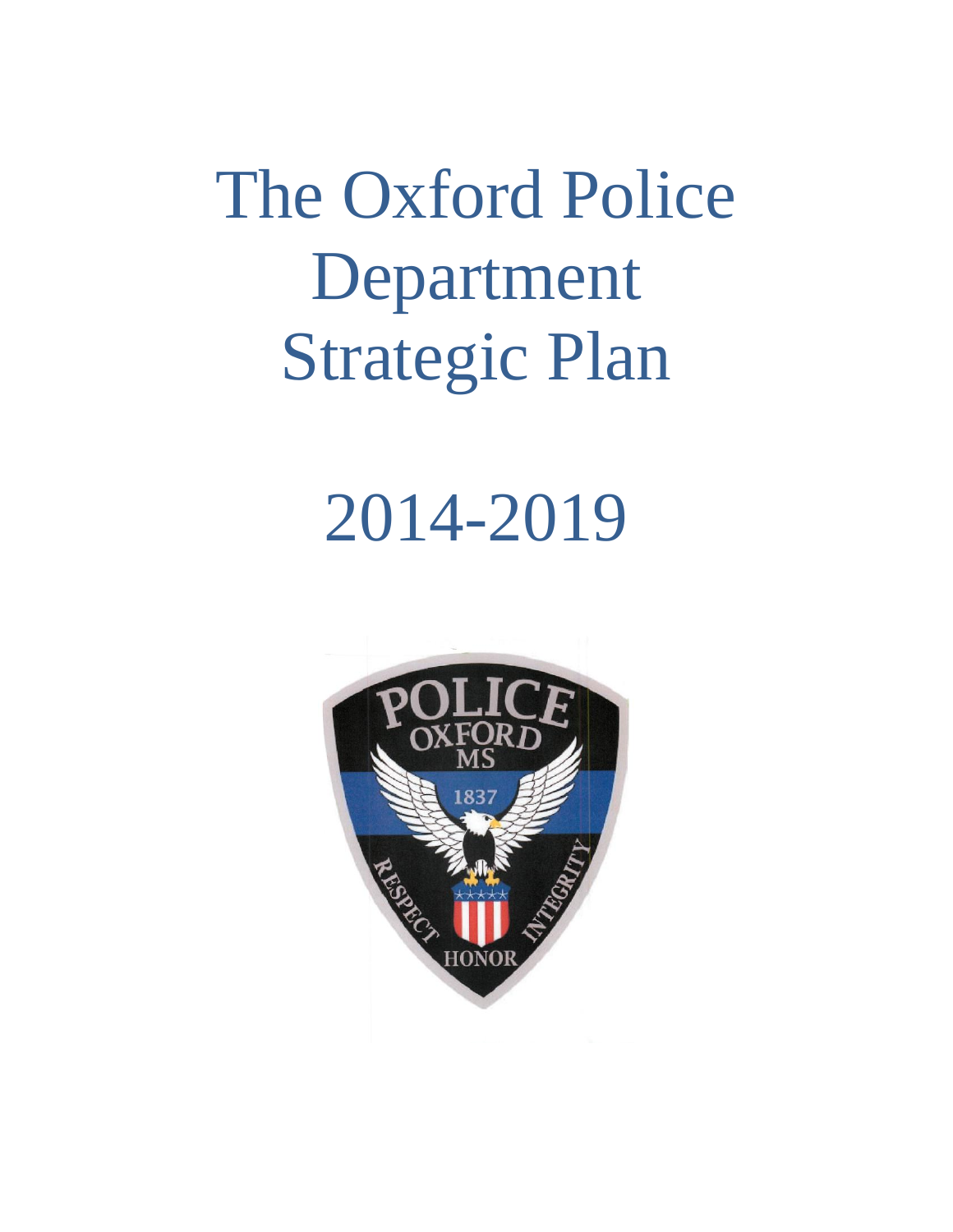The Oxford Police Department Strategic Plan

# 2014-2019

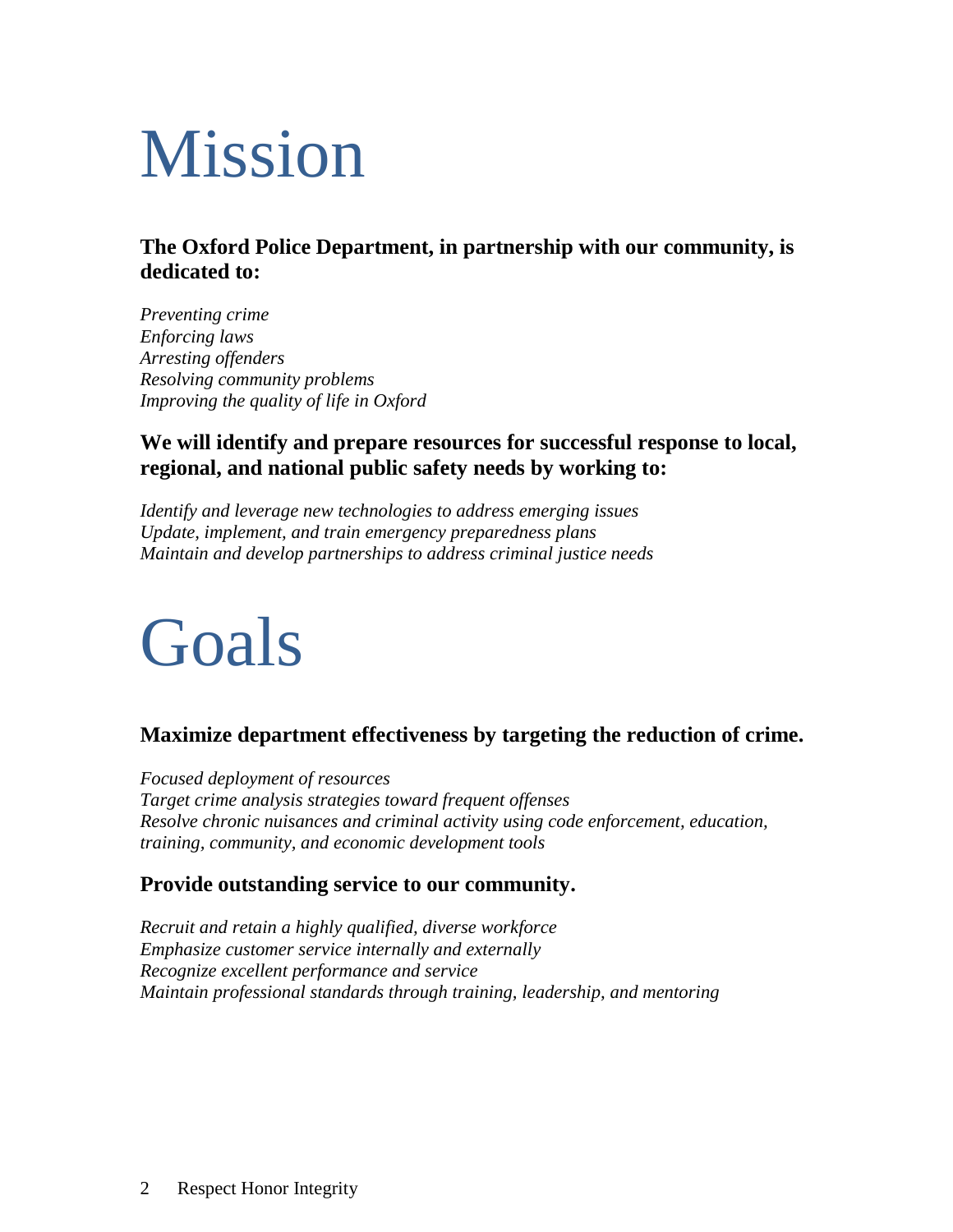# Mission

#### **The Oxford Police Department, in partnership with our community, is dedicated to:**

*Preventing crime Enforcing laws Arresting offenders Resolving community problems Improving the quality of life in Oxford* 

#### **We will identify and prepare resources for successful response to local, regional, and national public safety needs by working to:**

*Identify and leverage new technologies to address emerging issues Update, implement, and train emergency preparedness plans Maintain and develop partnerships to address criminal justice needs*

# Goals

#### **Maximize department effectiveness by targeting the reduction of crime.**

*Focused deployment of resources Target crime analysis strategies toward frequent offenses Resolve chronic nuisances and criminal activity using code enforcement, education, training, community, and economic development tools*

#### **Provide outstanding service to our community.**

*Recruit and retain a highly qualified, diverse workforce Emphasize customer service internally and externally Recognize excellent performance and service Maintain professional standards through training, leadership, and mentoring*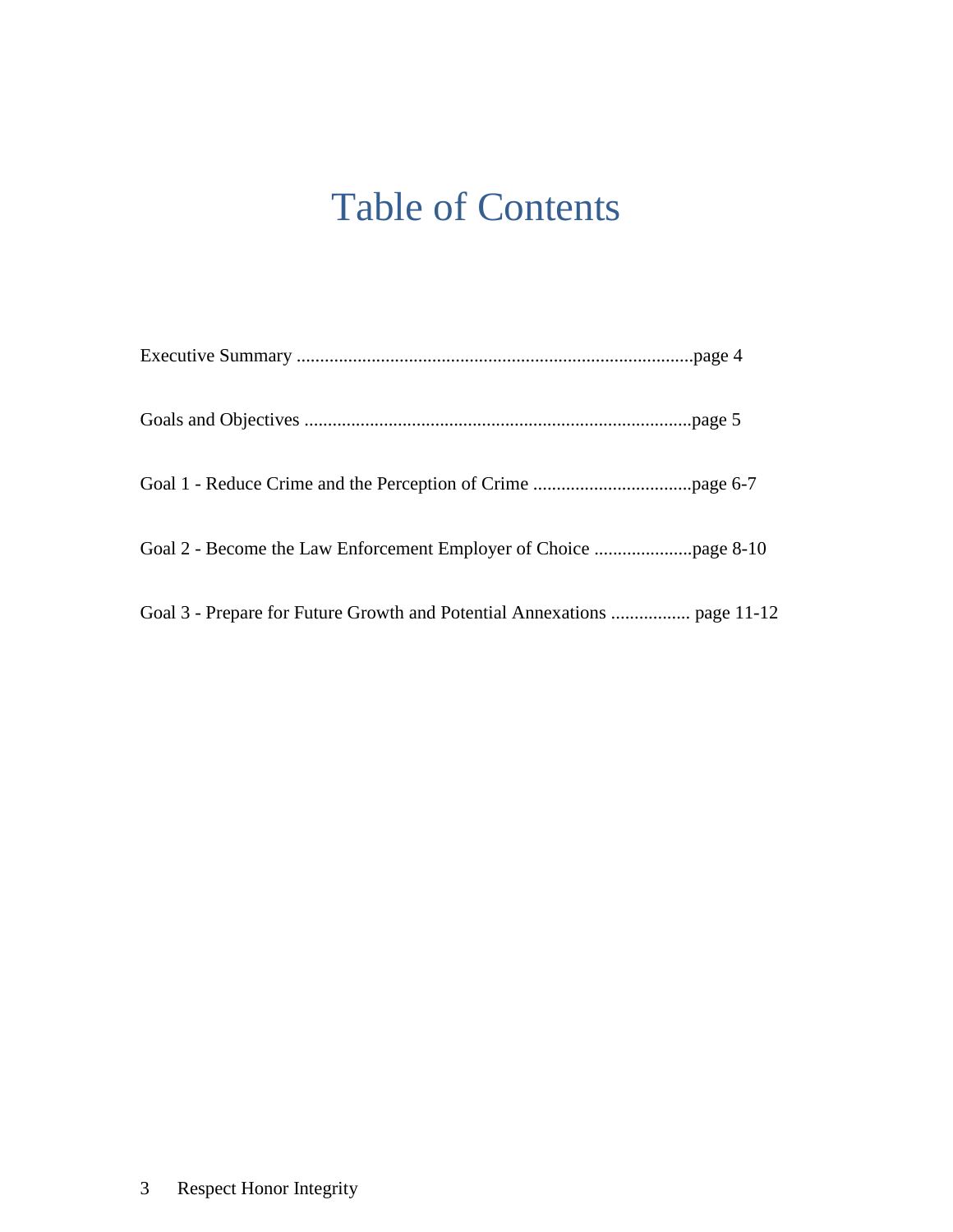## Table of Contents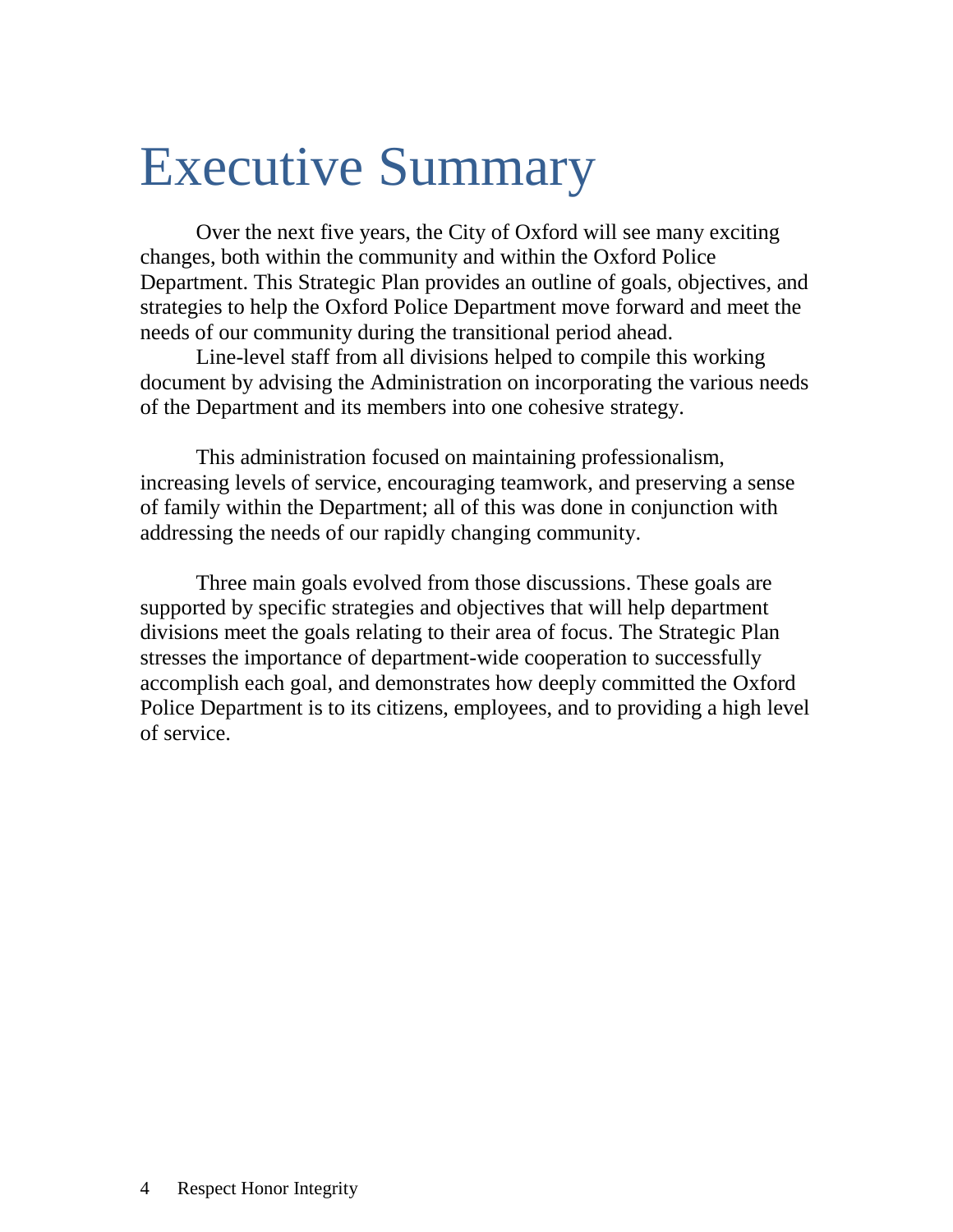## Executive Summary

Over the next five years, the City of Oxford will see many exciting changes, both within the community and within the Oxford Police Department. This Strategic Plan provides an outline of goals, objectives, and strategies to help the Oxford Police Department move forward and meet the needs of our community during the transitional period ahead.

Line-level staff from all divisions helped to compile this working document by advising the Administration on incorporating the various needs of the Department and its members into one cohesive strategy.

This administration focused on maintaining professionalism, increasing levels of service, encouraging teamwork, and preserving a sense of family within the Department; all of this was done in conjunction with addressing the needs of our rapidly changing community.

Three main goals evolved from those discussions. These goals are supported by specific strategies and objectives that will help department divisions meet the goals relating to their area of focus. The Strategic Plan stresses the importance of department-wide cooperation to successfully accomplish each goal, and demonstrates how deeply committed the Oxford Police Department is to its citizens, employees, and to providing a high level of service.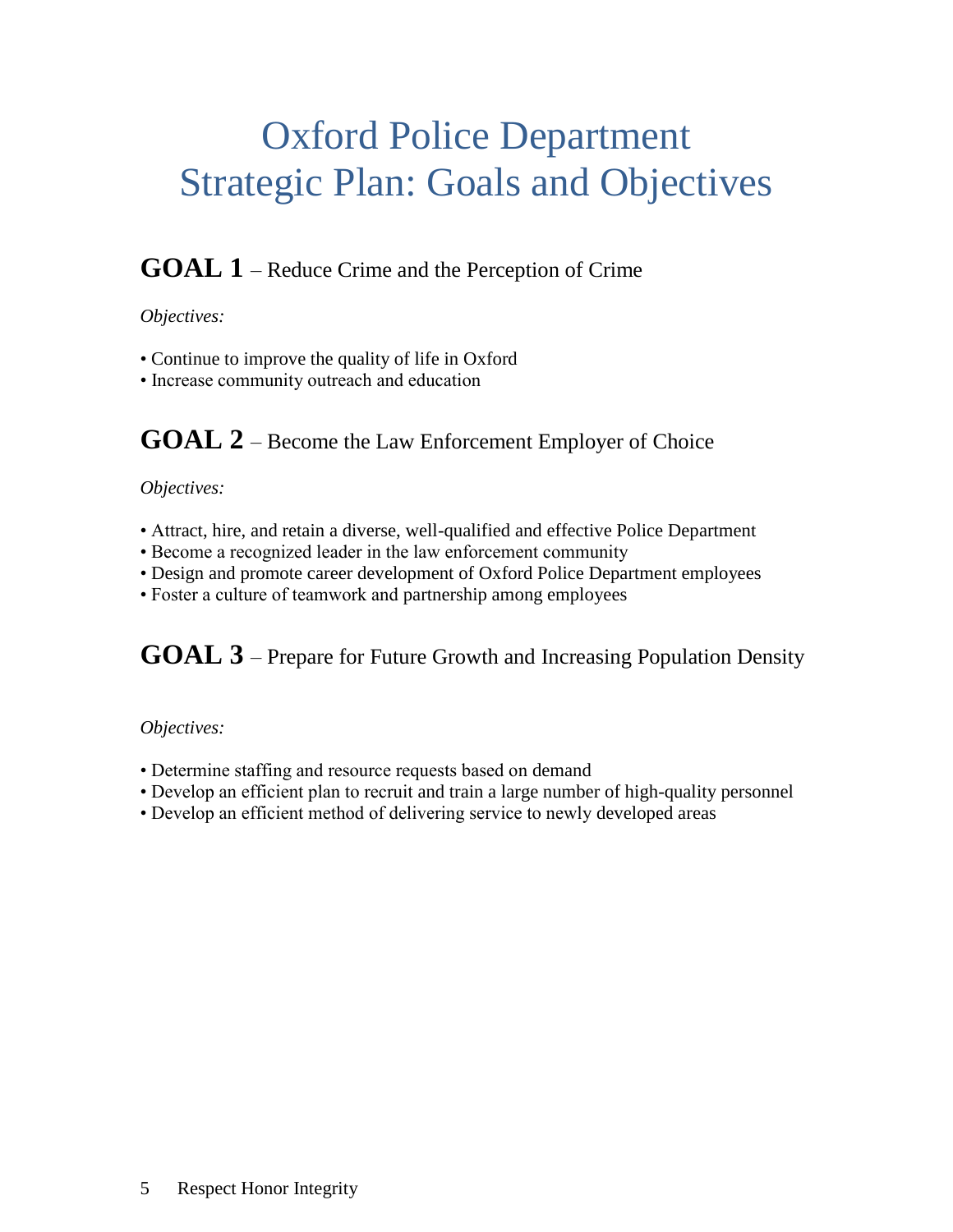## Oxford Police Department Strategic Plan: Goals and Objectives

#### **GOAL 1** – Reduce Crime and the Perception of Crime

#### *Objectives:*

- Continue to improve the quality of life in Oxford
- Increase community outreach and education

#### **GOAL 2** – Become the Law Enforcement Employer of Choice

#### *Objectives:*

- Attract, hire, and retain a diverse, well-qualified and effective Police Department
- Become a recognized leader in the law enforcement community
- Design and promote career development of Oxford Police Department employees
- Foster a culture of teamwork and partnership among employees

#### **GOAL 3** – Prepare for Future Growth and Increasing Population Density

#### *Objectives:*

- Determine staffing and resource requests based on demand
- Develop an efficient plan to recruit and train a large number of high-quality personnel
- Develop an efficient method of delivering service to newly developed areas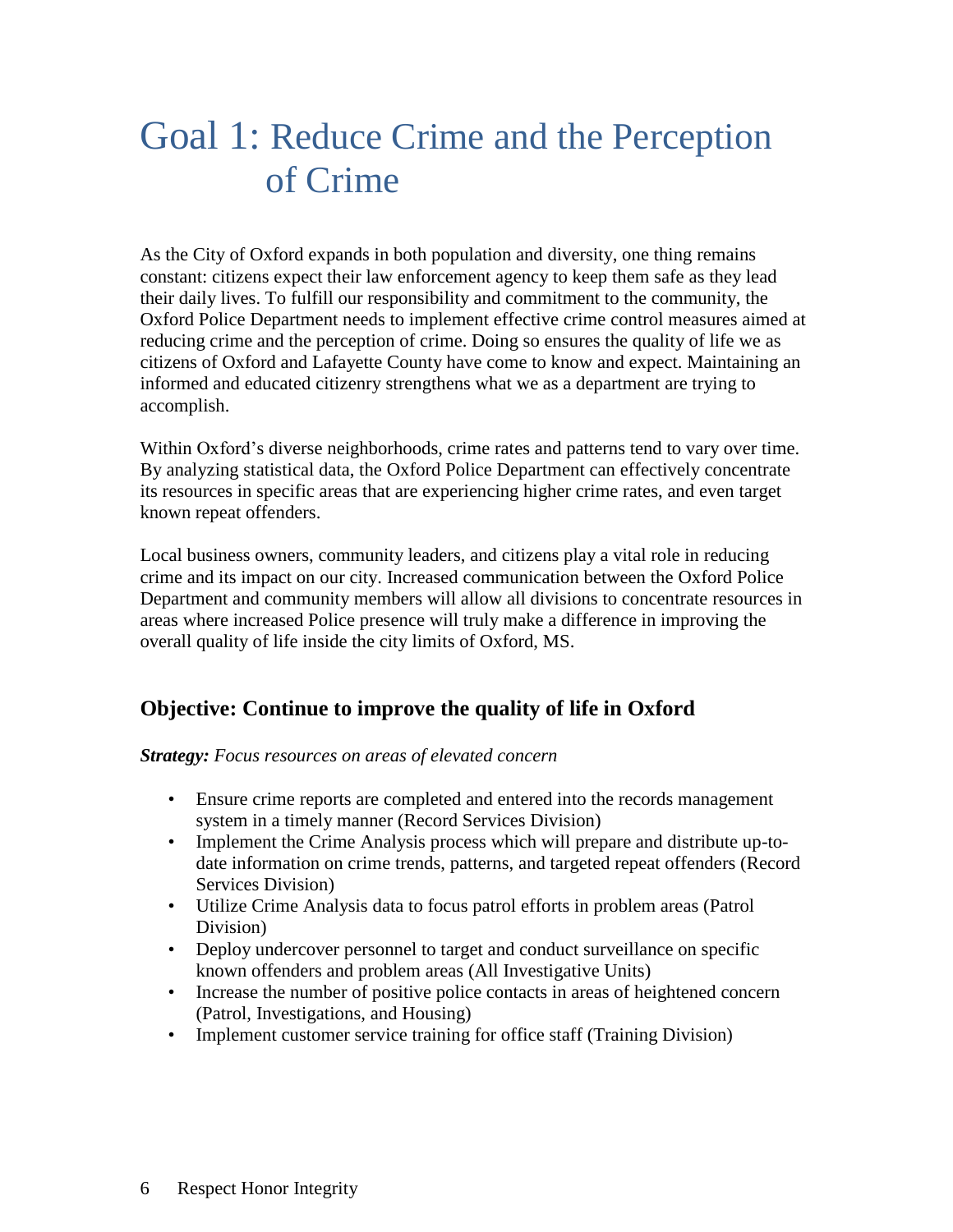### Goal 1: Reduce Crime and the Perception of Crime

As the City of Oxford expands in both population and diversity, one thing remains constant: citizens expect their law enforcement agency to keep them safe as they lead their daily lives. To fulfill our responsibility and commitment to the community, the Oxford Police Department needs to implement effective crime control measures aimed at reducing crime and the perception of crime. Doing so ensures the quality of life we as citizens of Oxford and Lafayette County have come to know and expect. Maintaining an informed and educated citizenry strengthens what we as a department are trying to accomplish.

Within Oxford's diverse neighborhoods, crime rates and patterns tend to vary over time. By analyzing statistical data, the Oxford Police Department can effectively concentrate its resources in specific areas that are experiencing higher crime rates, and even target known repeat offenders.

Local business owners, community leaders, and citizens play a vital role in reducing crime and its impact on our city. Increased communication between the Oxford Police Department and community members will allow all divisions to concentrate resources in areas where increased Police presence will truly make a difference in improving the overall quality of life inside the city limits of Oxford, MS.

#### **Objective: Continue to improve the quality of life in Oxford**

*Strategy: Focus resources on areas of elevated concern*

- Ensure crime reports are completed and entered into the records management system in a timely manner (Record Services Division)
- Implement the Crime Analysis process which will prepare and distribute up-todate information on crime trends, patterns, and targeted repeat offenders (Record Services Division)
- Utilize Crime Analysis data to focus patrol efforts in problem areas (Patrol Division)
- Deploy undercover personnel to target and conduct surveillance on specific known offenders and problem areas (All Investigative Units)
- Increase the number of positive police contacts in areas of heightened concern (Patrol, Investigations, and Housing)
- Implement customer service training for office staff (Training Division)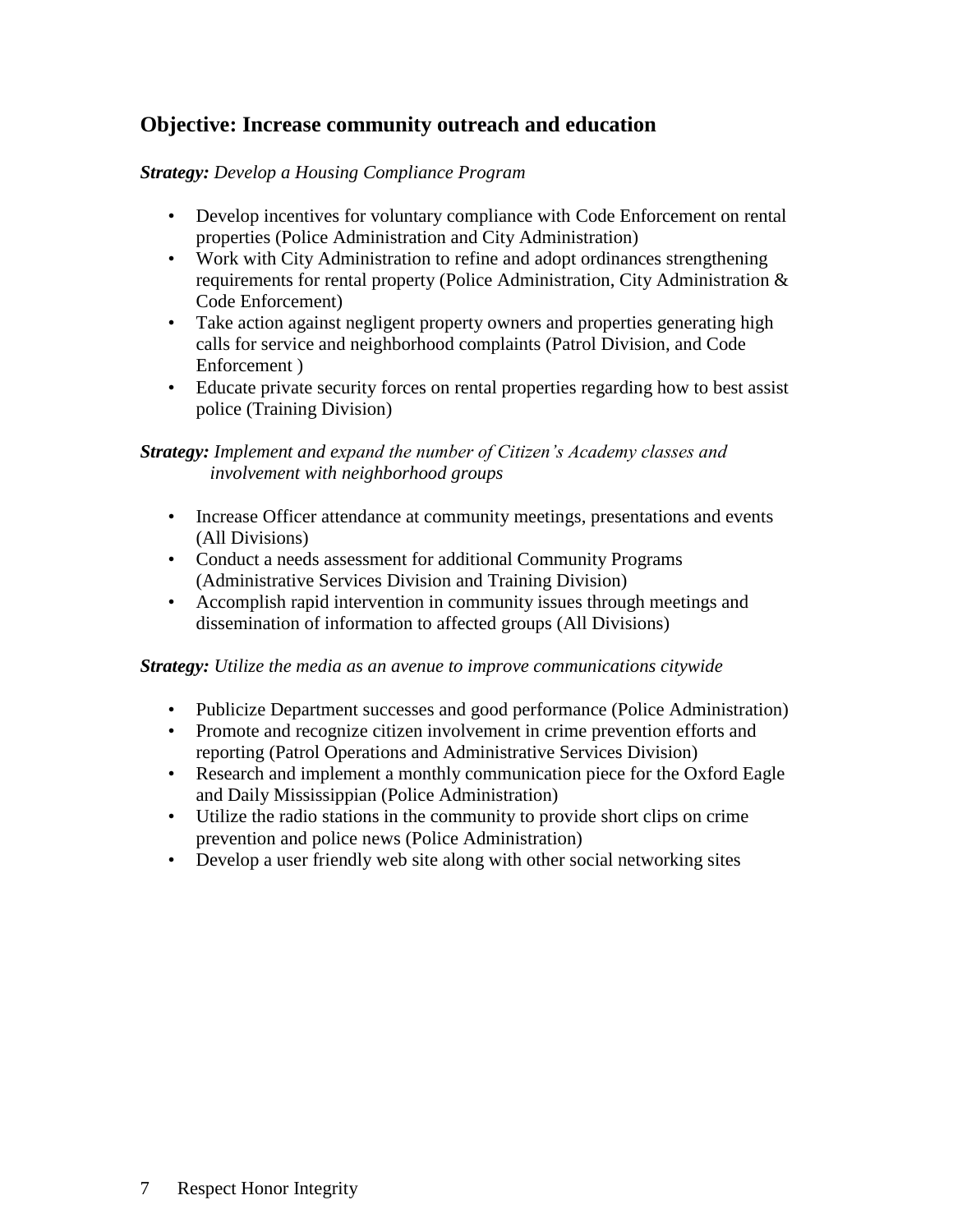#### **Objective: Increase community outreach and education**

#### *Strategy: Develop a Housing Compliance Program*

- Develop incentives for voluntary compliance with Code Enforcement on rental properties (Police Administration and City Administration)
- Work with City Administration to refine and adopt ordinances strengthening requirements for rental property (Police Administration, City Administration & Code Enforcement)
- Take action against negligent property owners and properties generating high calls for service and neighborhood complaints (Patrol Division, and Code Enforcement )
- Educate private security forces on rental properties regarding how to best assist police (Training Division)

#### *Strategy: Implement and expand the number of Citizen's Academy classes and involvement with neighborhood groups*

- Increase Officer attendance at community meetings, presentations and events (All Divisions)
- Conduct a needs assessment for additional Community Programs (Administrative Services Division and Training Division)
- Accomplish rapid intervention in community issues through meetings and dissemination of information to affected groups (All Divisions)

#### *Strategy: Utilize the media as an avenue to improve communications citywide*

- Publicize Department successes and good performance (Police Administration)
- Promote and recognize citizen involvement in crime prevention efforts and reporting (Patrol Operations and Administrative Services Division)
- Research and implement a monthly communication piece for the Oxford Eagle and Daily Mississippian (Police Administration)
- Utilize the radio stations in the community to provide short clips on crime prevention and police news (Police Administration)
- Develop a user friendly web site along with other social networking sites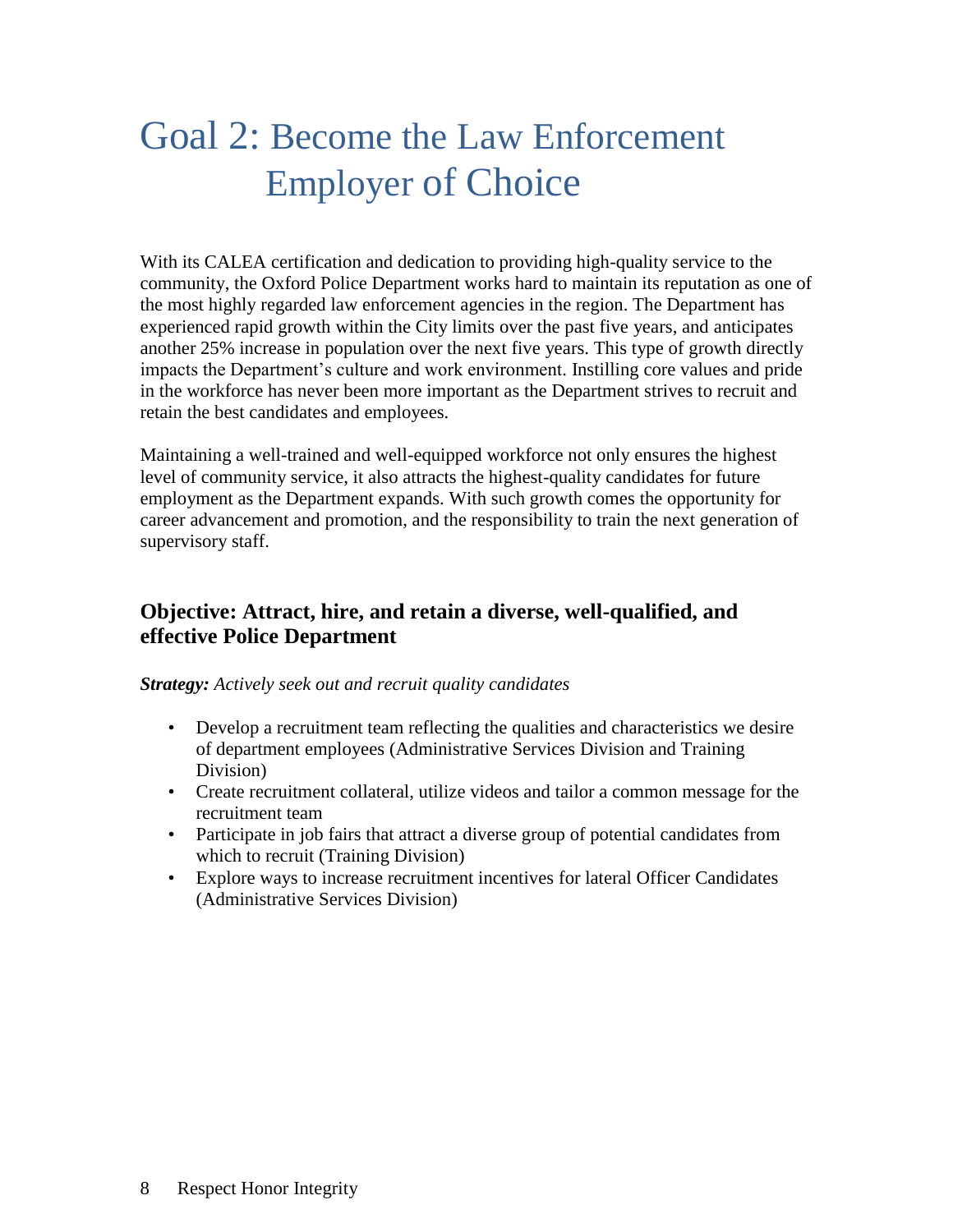## Goal 2: Become the Law Enforcement Employer of Choice

With its CALEA certification and dedication to providing high-quality service to the community, the Oxford Police Department works hard to maintain its reputation as one of the most highly regarded law enforcement agencies in the region. The Department has experienced rapid growth within the City limits over the past five years, and anticipates another 25% increase in population over the next five years. This type of growth directly impacts the Department's culture and work environment. Instilling core values and pride in the workforce has never been more important as the Department strives to recruit and retain the best candidates and employees.

Maintaining a well-trained and well-equipped workforce not only ensures the highest level of community service, it also attracts the highest-quality candidates for future employment as the Department expands. With such growth comes the opportunity for career advancement and promotion, and the responsibility to train the next generation of supervisory staff.

#### **Objective: Attract, hire, and retain a diverse, well-qualified, and effective Police Department**

#### *Strategy: Actively seek out and recruit quality candidates*

- Develop a recruitment team reflecting the qualities and characteristics we desire of department employees (Administrative Services Division and Training Division)
- Create recruitment collateral, utilize videos and tailor a common message for the recruitment team
- Participate in job fairs that attract a diverse group of potential candidates from which to recruit (Training Division)
- Explore ways to increase recruitment incentives for lateral Officer Candidates (Administrative Services Division)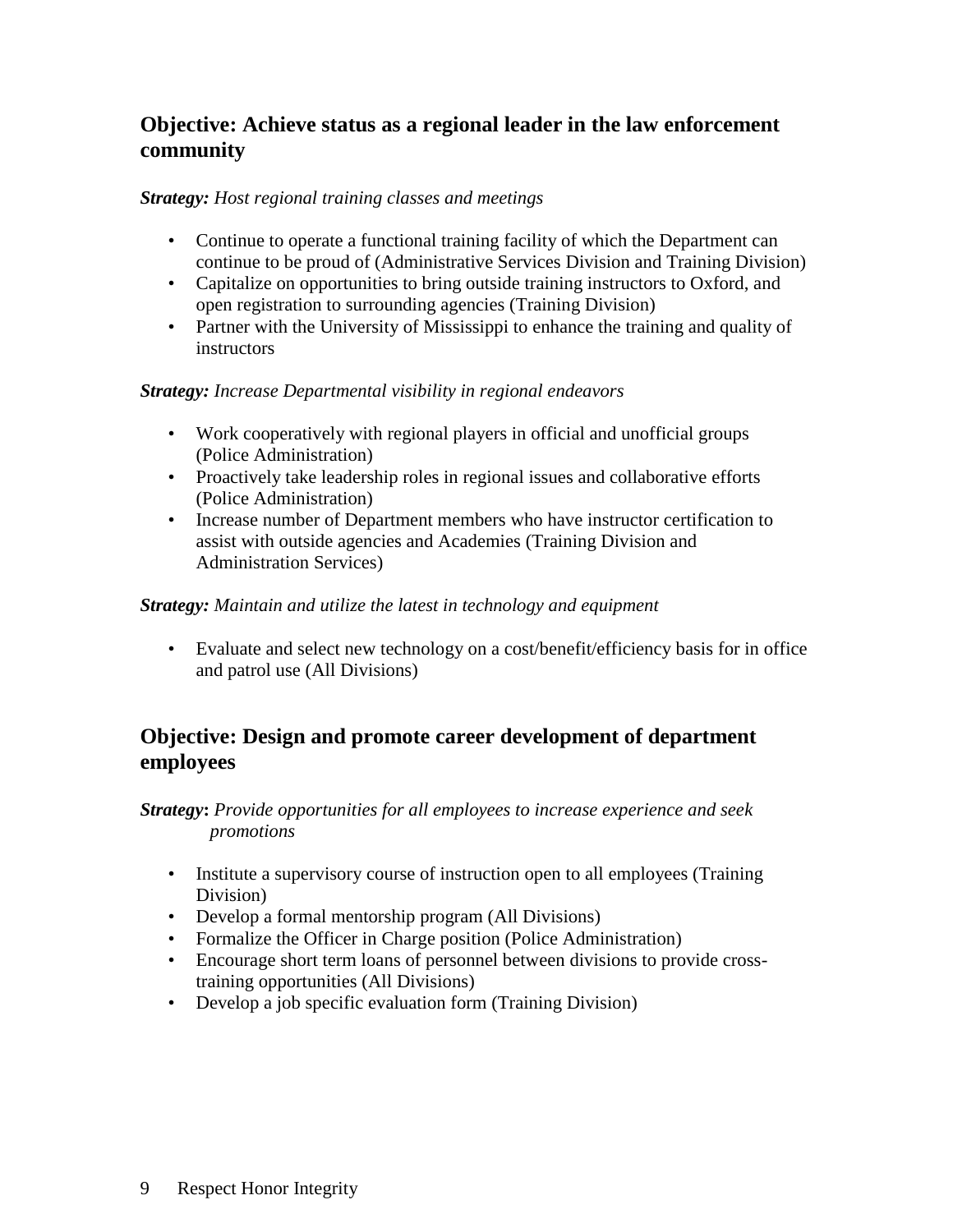#### **Objective: Achieve status as a regional leader in the law enforcement community**

#### *Strategy: Host regional training classes and meetings*

- Continue to operate a functional training facility of which the Department can continue to be proud of (Administrative Services Division and Training Division)
- Capitalize on opportunities to bring outside training instructors to Oxford, and open registration to surrounding agencies (Training Division)
- Partner with the University of Mississippi to enhance the training and quality of **instructors**

#### *Strategy: Increase Departmental visibility in regional endeavors*

- Work cooperatively with regional players in official and unofficial groups (Police Administration)
- Proactively take leadership roles in regional issues and collaborative efforts (Police Administration)
- Increase number of Department members who have instructor certification to assist with outside agencies and Academies (Training Division and Administration Services)

#### *Strategy: Maintain and utilize the latest in technology and equipment*

• Evaluate and select new technology on a cost/benefit/efficiency basis for in office and patrol use (All Divisions)

#### **Objective: Design and promote career development of department employees**

*Strategy***:** *Provide opportunities for all employees to increase experience and seek promotions*

- Institute a supervisory course of instruction open to all employees (Training Division)
- Develop a formal mentorship program (All Divisions)
- Formalize the Officer in Charge position (Police Administration)
- Encourage short term loans of personnel between divisions to provide crosstraining opportunities (All Divisions)
- Develop a job specific evaluation form (Training Division)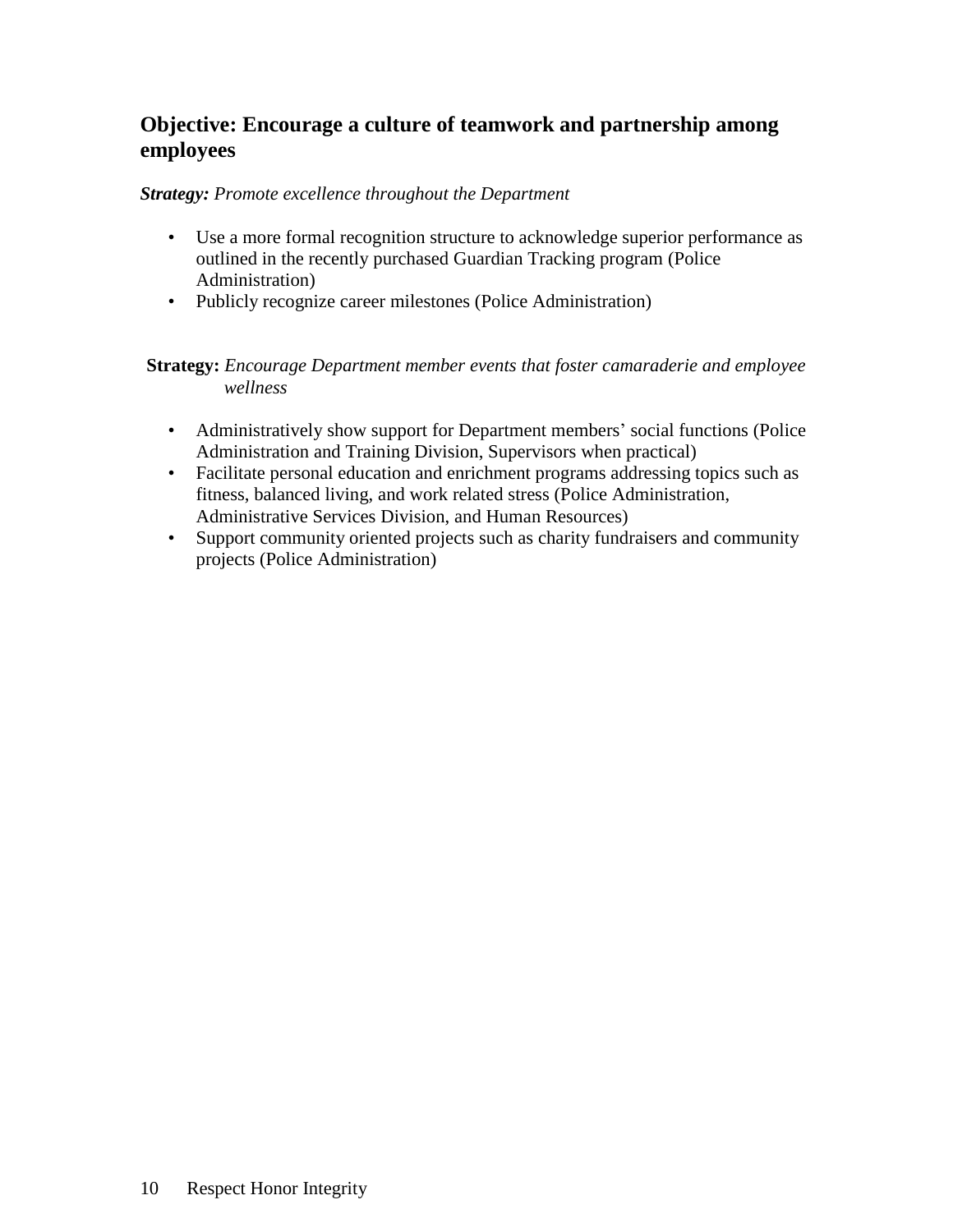#### **Objective: Encourage a culture of teamwork and partnership among employees**

#### *Strategy: Promote excellence throughout the Department*

- Use a more formal recognition structure to acknowledge superior performance as outlined in the recently purchased Guardian Tracking program (Police Administration)
- Publicly recognize career milestones (Police Administration)

#### **Strategy:** *Encourage Department member events that foster camaraderie and employee wellness*

- Administratively show support for Department members' social functions (Police Administration and Training Division, Supervisors when practical)
- Facilitate personal education and enrichment programs addressing topics such as fitness, balanced living, and work related stress (Police Administration, Administrative Services Division, and Human Resources)
- Support community oriented projects such as charity fundraisers and community projects (Police Administration)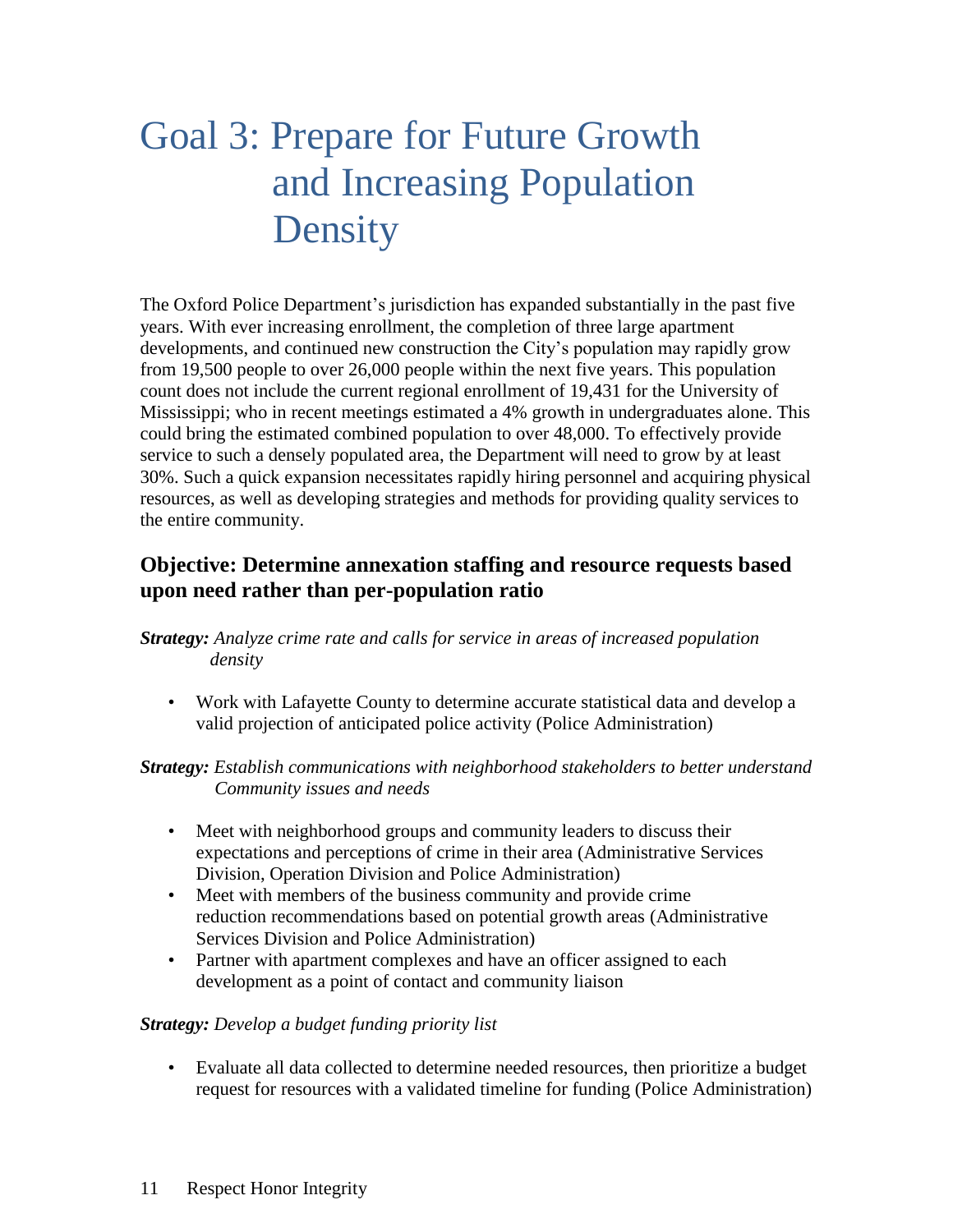## Goal 3: Prepare for Future Growth and Increasing Population Density

The Oxford Police Department's jurisdiction has expanded substantially in the past five years. With ever increasing enrollment, the completion of three large apartment developments, and continued new construction the City's population may rapidly grow from 19,500 people to over 26,000 people within the next five years. This population count does not include the current regional enrollment of 19,431 for the University of Mississippi; who in recent meetings estimated a 4% growth in undergraduates alone. This could bring the estimated combined population to over 48,000. To effectively provide service to such a densely populated area, the Department will need to grow by at least 30%. Such a quick expansion necessitates rapidly hiring personnel and acquiring physical resources, as well as developing strategies and methods for providing quality services to the entire community.

#### **Objective: Determine annexation staffing and resource requests based upon need rather than per-population ratio**

*Strategy: Analyze crime rate and calls for service in areas of increased population density*

• Work with Lafayette County to determine accurate statistical data and develop a valid projection of anticipated police activity (Police Administration)

*Strategy: Establish communications with neighborhood stakeholders to better understand Community issues and needs*

- Meet with neighborhood groups and community leaders to discuss their expectations and perceptions of crime in their area (Administrative Services Division, Operation Division and Police Administration)
- Meet with members of the business community and provide crime reduction recommendations based on potential growth areas (Administrative Services Division and Police Administration)
- Partner with apartment complexes and have an officer assigned to each development as a point of contact and community liaison

#### *Strategy: Develop a budget funding priority list*

• Evaluate all data collected to determine needed resources, then prioritize a budget request for resources with a validated timeline for funding (Police Administration)